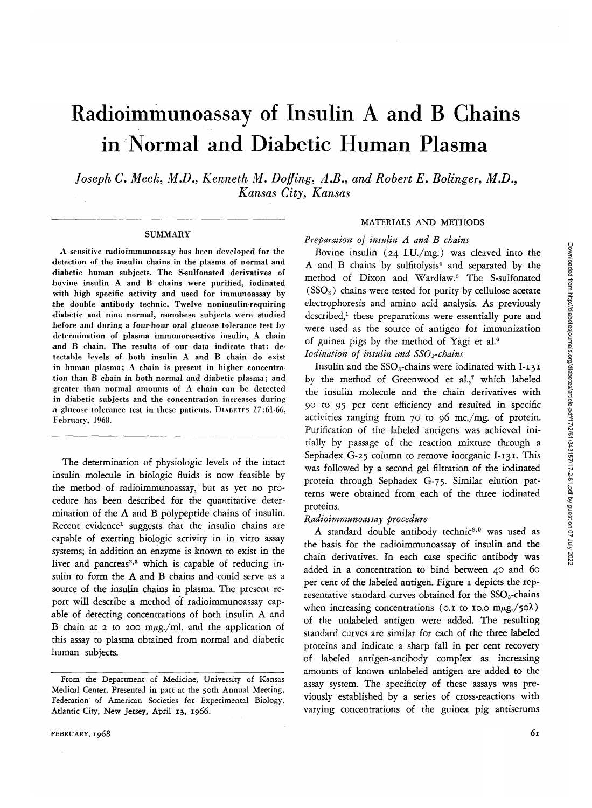# Radioimmunoassay of Insulin A and B Chains in Normal and Diabetic Human Plasma

*Joseph C. Meek, M.D., Kenneth M. Doffing, A.B., and Robert E. Bolinger, M.D., Kansas City, Kansas*

#### **SUMMARY**

A sensitive radioimmunoassay has been developed for the •detection of the insulin chains in the plasma of normal and diabetic human subjects. The S-sulfonated derivatives of bovine insulin A and B chains were purified, iodinated with high specific activity and used for immunoassay by the double antibody technic. Twelve noninsulin-requiring diabetic and nine normal, nonobese subjects were studied before and during a four-hour oral glucose tolerance test by determination of plasma immunoreactive insulin, A chain and B chain. The results of our data indicate that: detectable levels of both insulin A and B chain do exist in human plasma; A chain is present in higher concentration than B chain in both normal and diabetic plasma; and greater than normal amounts of A chain can be detected in diabetic subjects and the concentration increases during a glucose tolerance lest in these patients. DIABETES *1*7:61-66, February, 1968.

The determination of physiologic levels of the intact insulin molecule in biologic fluids is now feasible by the method of radioimmunoassay, but as yet no procedure has been described for the quantitative determination of the A and B polypeptide chains of insulin. Recent evidence<sup>1</sup> suggests that the insulin chains are capable of exerting biologic activity in in vitro assay systems; in addition an enzyme is known to exist in the liver and pancreas<sup>2,3</sup> which is capable of reducing insulin to form the A and B chains and could serve as a source of the insulin chains in plasma. The present report will describe a method of radioimmunoassay capable of detecting concentrations of both insulin A and B chain at 2 to 200 m $\mu$ g./ml. and the application of this assay to plasma obtained from normal and diabetic human subjects.

## MATERIALS AND METHODS

*Preparation of insulin A and B chains*

Bovine insulin (24 I.U./mg.) was cleaved into the A and B chains by sulfitolysis<sup>4</sup> and separated by the method of Dixon and Wardlaw.<sup>5</sup> The S-sulfonated  $(SSO<sub>3</sub>)$  chains were tested for purity by cellulose acetate electrophoresis and amino acid analysis. As previously described,<sup>1</sup> these preparations were essentially pure and were used as the source of antigen for immunization of guinea pigs by the method of Yagi et al.6 *lodination of insulin and SSOs-chains*

Insulin and the SSO<sub>3</sub>-chains were iodinated with I-131 by the method of Greenwood et al.,7 which labeled

the insulin molecule and the chain derivatives with 90 to 95 per cent efficiency and resulted in specific activities ranging from 70 to 96 mc./mg. of protein. Purification of the labeled antigens was achieved initially by passage of the reaction mixture through a Sephadex G-25 column to remove inorganic I-131. This was followed by a second gel filtration of the iodinated protein through Sephadex G-75. Similar elution patterns were obtained from each of the three iodinated proteins.

#### *Radioimmunoassay procedure*

A standard double antibody technic<sup>8,9</sup> was used as the basis for the radioimmunoassay of insulin and the chain derivatives. In each case specific antibody was added in a concentration to bind between 40 and 60 per cent of the labeled antigen. Figure 1 depicts the representative standard curves obtained for the  $SSO<sub>3</sub>$ -chains when increasing concentrations (0.1 to 10.0 m $\mu$ g./50 $\lambda$ ) of the unlabeled antigen were added. The resulting standard curves are similar for each of the three labeled proteins and indicate a sharp fall in per cent recovery of labeled antigen-antibody complex as increasing amounts of known unlabeled antigen are added to the assay system. The specificity of these assays was previously established by a series of cross-reactions with varying concentrations of the guinea pig antiserums

From the Department of Medicine, University of Kansas Medical Center. Presented in part at the 50th Annual Meeting, Federation of American Societies for Experimental Biology, Atlantic City, New Jersey, April 13, 1966.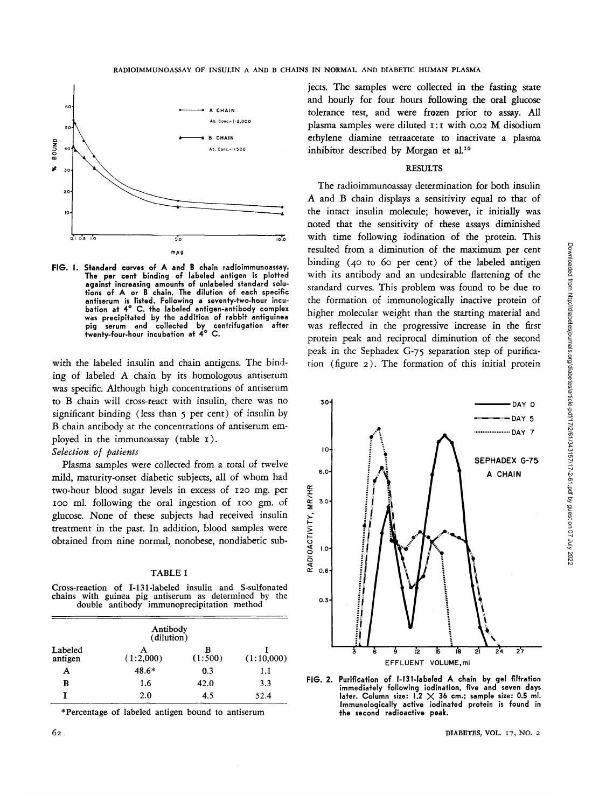

**FIG. I. Standard curves** of **A and B** chain radioimmunoassay. The per cent binding of labeled antigen is plotted against increasing amounts of unlabeled standard solutions of A or B chain. The dilution of each specific antiserum is listed. Following a seventy-two-hour incubation at 4° C. the labeled antigen-antibody complex was precipitated by the addition of rabbit antiguinea pig serum and collected by centrifugation after twenty-four-hour incubation at 4° C.

with the labeled insulin and chain antigens. The binding of labeled A chain by its homologous antiserum was specific. Although high concentrations of antiserum to B chain will cross-react with insulin, there was no significant binding (less than 5 per cent) of insulin by B chain antibody at the concentrations of antiserum employed in the immunoassay (table 1).

#### *Selection of patients*

Plasma samples were collected from a total of twelve mild, maturity-onset diabetic subjects, all of whom had two-hour blood sugar levels in excess of 120 mg. per 100 ml. following the oral ingestion of 100 gm. of glucose. None of these subjects had received insulin treatment in the past. In addition, blood samples were obtained from nine normal, nonobese, nondiabetic sub-

| ٠ |  |
|---|--|
|---|--|

Cross-reaction of I-131-labeled insulin and S-sulfonated chains with guinea pig antiserum as determined by double antibody immunoprecipitation method

|                    | Antibody<br>(dilution) |              |            |
|--------------------|------------------------|--------------|------------|
| Labeled<br>antigen | (1:2,000)              | в<br>(1:500) | (1:10,000) |
| А                  | 48.6*                  | 0.3          | 1.1        |
| в                  | 1.6                    | 42.0         | 3.3        |
|                    | 2.0                    | 4.5          | 52.4       |

\* Percentage of labeled antigen bound to antiserum

jects. The samples were collected in **the** fasting state and hourly for four hours following **the** oral glucose tolerance test, and were frozen prior to assay. AIL plasma samples were diluted 1:1 with 0.02 M disodium ethylene diamine tetraacetate to inactivate a plasma inhibitor described by Morgan et al.<sup>10</sup>

#### RESULTS

The radioimmunoassay determination for both insulin A and B chain displays a sensitivity equal to that of the intact insulin molecule; however, *it* initially was noted that the sensitivity of these assays diminished with time following iodination of the protein. This resulted from a diminution of the maximum per cent binding (40 to 60 per cent) of the labeled antigen with its antibody and an undesirable flattening of the standard curves. This problem was found to be due to the formation of immunologically inactive protein of higher molecular weight than the starting material and was reflected in the progressive increase in the first protein peak and reciprocal diminution of the second peak in the Sephadex G-75 separation step of purification (figure 2). The formation of this initial protein



**FIG. 2. Purification of l-131-labeled A** chain **by** gel filtration immediately following iodination, five and seven days later. Column size:  $1.2 \times 36$  cm.; sample size: 0.5 ml. Immunologically active iodinated protein is found in the second radioactive **peak.**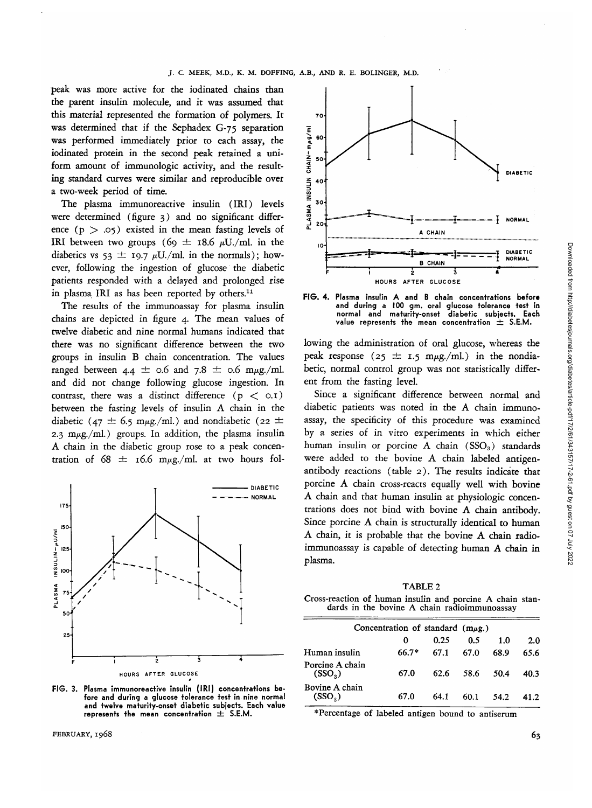peak was more active for the iodinated chains than the parent insulin molecule, and it was assumed that this material represented the formation of polymers. It was determined that if the Sephadex G-75 separation was performed immediately prior to each assay, the iodinated protein in the second peak retained a uniform amount of immunologic activity, and the resulting standard curves were similar and reproducible over a two-week period of time.

The plasma immunoreactive insulin (IRI) levels were determined (figure 3) and no significant difference  $(p > .05)$  existed in the mean fasting levels of IRI between two groups (69  $\pm$  18.6  $\mu$ U./ml. in the diabetics vs  $53 \pm 19.7 \mu U$ ./ml. in the normals); however, following the ingestion of glucose the diabetic patients responded with a delayed and prolonged rise in plasma IRI as has been reported by others.<sup>11</sup>

The results of the immunoassay for plasma insulin chains are depicted in figure 4. The mean values of twelve diabetic and nine normal humans indicated that there was no significant difference between the two groups in insulin B chain concentration. The values ranged between  $4.4 \pm 0.6$  and  $7.8 \pm 0.6$  m $\mu$ g./ml. and did not change following glucose ingestion. In contrast, there was a distinct difference  $(p < o.1)$ between the fasting levels of insulin A chain in the diabetic (47  $\pm$  6.5 m<sub>pg</sub>./ml.) and nondiabetic (22  $\pm$ 2.3 m $\mu$ g./ml.) groups. In addition, the plasma insulin A chain in the diabetic group rose to a peak concentration of  $68 \pm 16.6$  m $\mu$ g./ml. at two hours fol-



**FIG. 3. Plasma immunoreactive insulin (IRI) concentrations before and during a glucose tolerance test in nine normal and twelve maturity-onset diabetic subjects. Each value represents the mean concentration ± S.E.M.**





**FIG. 4. Plasma insulin A and B chain concentrations before and during a 100 gm. oral glucose tolerance test in normal and maturity-onset diabetic subjects. Each value represents the mean concentration ± S.E.M.**

lowing the administration of oral glucose, whereas the peak response ( $25 \pm 1.5$  m $\mu$ g./ml.) in the nondiabetic, normal control group was not statistically different from the fasting level.

Since a significant difference between normal and diabetic patients was noted in the A chain immunoassay, the specificity of this procedure was examined by a series of in vitro experiments in which either human insulin or porcine A chain  $(SSO_3)$  standards were added to the bovine A chain labeled antigenantibody reactions (table 2). The results indicate that porcine A chain cross-reacts equally well with bovine A chain and that human insulin at physiologic concentrations does not bind with bovine A chain antibody. Since porcine A chain is structurally identical to human A chain, it is probable that the bovine A chain radioimmunoassay is capable of detecting human A chain in plasma.

TABLE 2 Cross-reaction of human insulin and porcine A chain stan- dards in the bovine A chain radioimmunoassay

| 0       | 0.25 | 0.5  | 1.0                                    | 2.0  |
|---------|------|------|----------------------------------------|------|
| $66.7*$ | 67.1 | 67.0 | 68.9                                   | 65.6 |
| 67.0    | 62.6 | 58.6 | 50.4                                   | 40.3 |
| 67.0    | 64.1 | 60.1 | 54.2                                   | 41.2 |
|         |      |      | Concentration of standard $(m\mu g)$ . |      |

\*Percentage of labeled antigen bound to antiserum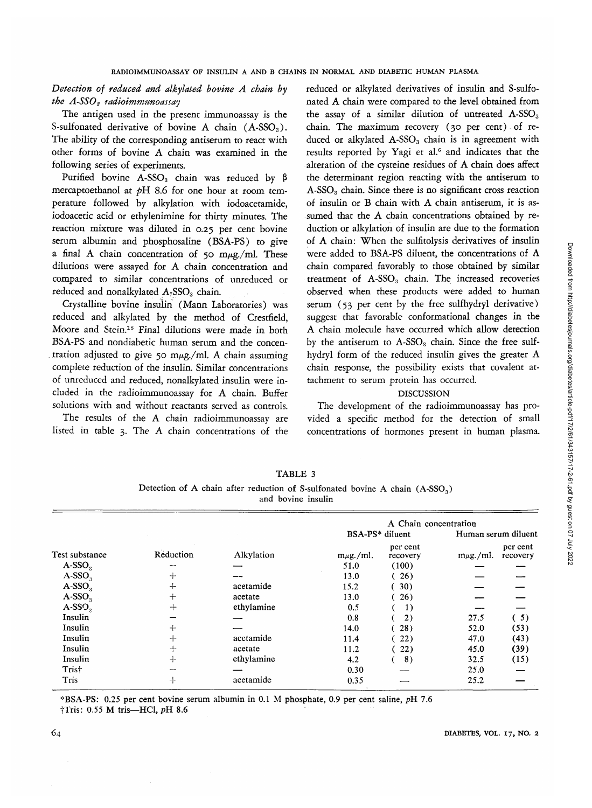*Detection of reduced and alkylated bovine A chain by the A-SSOs radioimmunoassay*

The antigen used in the present immunoassay is the S-sulfonated derivative of bovine A chain  $($ A-SSO<sub>3</sub> $)$ . The ability of the corresponding antiserum to react with other forms of bovine A chain was examined in the following series of experiments.

Purified bovine A-SSO<sub>3</sub> chain was reduced by  $\beta$ mercaptoethanol at *pH* 8.6 for one hour at room temperature followed by alkylation with iodoacetamide, iodoacetic acid or ethylenimine for thirty minutes. The reaction mixture was diluted in 0.25 per cent bovine serum albumin and phosphosaline (BSA-PS) to *giwe* a final A chain concentration of 50 m $\mu$ g./ml. These dilutions were assayed for A chain concentration and compared to similar concentrations of unreduced or reduced and nonalkylated  $A_7$ SSO<sub>3</sub> chain.

Crystalline bovine insulin (Mann Laboratories) was reduced and alkylated by the method of Crestfield, Moore and Stein.<sup>18</sup> Final dilutions were made in both BSA-PS and nondiabetic human serum and the concentration adjusted to give 50 m $\mu$ g./ml. A chain assuming complete reduction of the insulin. Similar concentrations of unreduced and reduced, nonalkylated insulin were included in the radioimmunoassay for A chain. Buffer solutions with and without reactants served as controls.

The results of the A chain radioimmunoassay are listed in table 3. The A chain concentrations of the

reduced or alkylated derivatives of insulin and S-sulfonated A chain were compared to the level obtained from the assay of a similar dilution of untreated  $A-SSO<sub>3</sub>$ chain. The maximum recovery (30 per cent) of reduced or alkylated  $A$ -SSO<sub>3</sub> chain is in agreement with results reported by Yagi et al.<sup>6</sup> and indicates that the alteration of the cysteine residues of A chain does affect the determinant region reacting with the antiserum to  $A-SSO<sub>3</sub>$  chain. Since there is no significant cross reaction of insulin or B chain with A chain antiserum, it is assumed that the A chain concentrations obtained by reduction or alkylation of insulin are due to the formation of A chain: When the sulfitolysis derivatives of insulin were added to BSA-PS diluent, the concentrations of A chain compared favorably to those obtained by similar treatment of  $A-SSO<sub>3</sub>$  chain. The increased recoveries observed when these products were added to human serum (53 per cent by the free sulfhydryl derivative) suggest that favorable conformational changes in the A chain molecule have occurred which allow detection by the antiserum to  $A$ -SSO<sub>3</sub> chain. Since the free sulfhydryl form of the reduced insulin gives the greater A chain response, the possibility exists that covalent attachment to serum protein has occurred.

#### **DISCUSSION**

The development of the radioimmunoassay has provided a specific method for the detection of small concentrations of hormones present in human plasma.

|                |           |            | A Chain concentration |                      |                     |                      |
|----------------|-----------|------------|-----------------------|----------------------|---------------------|----------------------|
| Test substance |           |            | BSA-PS* diluent       |                      | Human serum diluent |                      |
|                | Reduction | Alkylation | $m\mu g$ ./ml.        | per cent<br>recovery | $m\mu$ g./ml.       | per cent<br>recovery |
| $A-SSO3$       |           |            | 51.0                  | (100)                |                     |                      |
| $A-SSO3$       | $+$       |            | 13.0                  | 26)                  |                     |                      |
| $A-SSO3$       | $+$       | acetamide  | 15.2                  | 30)                  |                     |                      |
| $A-SSO3$       | $+$       | acetate    | 13.0                  | 26)                  |                     |                      |
| $A-SSO3$       | $+$       | ethylamine | 0.5                   | 1)                   |                     |                      |
| Insulin        |           |            | 0.8                   | 2)                   | 27.5                | (5)                  |
| Insulin        | $+$       |            | 14.0                  | 28)                  | 52.0                | (53)                 |
| Insulin        | $^{+}$    | acetamide  | 11.4                  | 22)                  | 47.0                | (43)                 |
| Insulin        | $+$       | acetate    | 11.2                  | 22)                  | 45.0                | (39)                 |
| Insulin        | $+$       | ethylamine | 4.2                   | 8)                   | 32.5                | (15)                 |
| Trist          |           |            | 0.30                  |                      | 25.0                |                      |
| Tris           | $+$       | acetamide  | 0.35                  |                      | 25.2                |                      |

TABLE 3 Detection of A chain after reduction of S-sulfonated bovine A chain  $(A-SSO<sub>3</sub>)$ 

and bovine insulin

\* BSA-PS: 0.25 per cent bovine serum albumin in 0.1 M phosphate, 0.9 per cent saline, *pH* 7.6  $\dagger$ Tris: 0.55 M tris-HCl, pH 8.6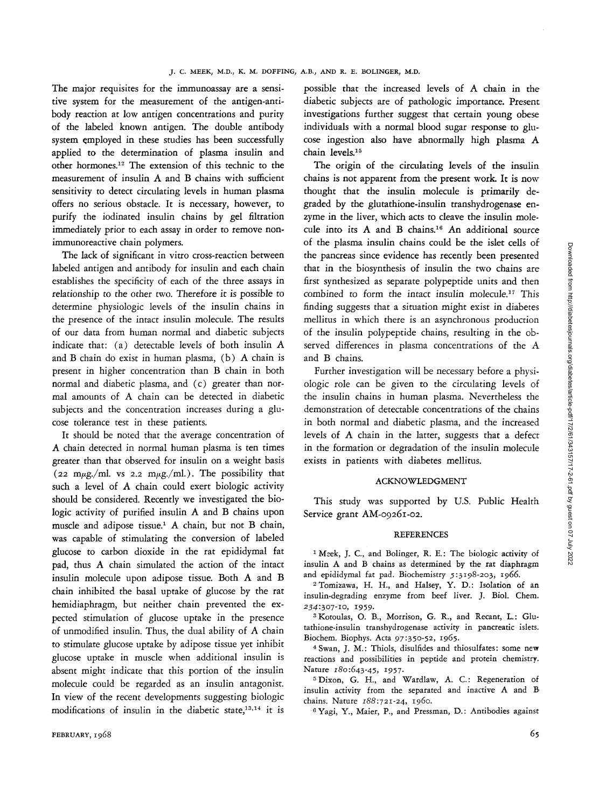The major requisites for the immunoassay are a sensitive system for the measurement of the antigen-antibody reaction at low antigen concentrations and purity of the labeled known antigen. The double antibody system employed in these studies has been successfully applied to the determination of plasma insulin and other hormones.12 The extension of this technic to the measurement of insulin A and B chains with sufficient sensitivity to detect circulating levels in human plasma offers no serious obstacle. It is necessary, however, to purify the iodinated insulin chains by gel filtration immediately prior to each assay in order to remove nonimmunoreactive chain polymers.

The lack of significant in vitro cross-reacticn between labeled antigen and antibody for insulin and each chain establishes the specificity of each of the three assays in relationship to the other two. Therefore it is possible to determine physiologic levels of the insulin chains in the presence of the intact insulin molecule. The results of our data from human normal and diabetic subjects indicate that: (a) detectable levels of both insulin A and B chain do exist in human plasma, (b) A chain is present in higher concentration than B chain in both normal and diabetic plasma, and (c) greater than normal amounts of A chain can be detected in diabetic subjects and the concentration increases during a glucose tolerance test in these patients.

It should be noted that the average concentration of A chain detected in normal human plasma is ten times greater than that observed for insulin on a weight basis (22 m $\mu$ g./ml. vs 2.2 m $\mu$ g./ml.). The possibility that such a level of A chain could exert biologic activity should be considered. Recently we investigated the biologic activity of purified insulin A and B chains upon muscle and adipose tissue.<sup>1</sup> A chain, but not B chain, was capable of stimulating the conversion of labeled glucose to carbon dioxide in the rat epididymal fat pad, thus A chain simulated the action of the intact insulin molecule upon adipose tissue. Both A and B chain inhibited the basal uptake of glucose by the rat hemidiaphragm, but neither chain prevented the expected stimulation of glucose uptake in the presence of unmodified insulin. Thus, the dual ability of A chain to stimulate glucose uptake by adipose tissue yet inhibit glucose uptake in muscle when additional insulin is absent might indicate that this portion of the insulin molecule could be regarded as an insulin antagonist. In view of the recent developments suggesting biologic m view or the recent developments suggesting biomodifications of  $\frac{1}{2}$ modifications of insulin in the diabetic state,<sup>13,14</sup> it is

possible that the increased levels of A chain in the diabetic subjects are of pathologic importance. Present investigations further suggest that certain young obese individuals with a normal blood sugar response to glucose ingestion also have abnormally high plasma A chain levels.15

The origin of the circulating levels of the insulin chains is not apparent from the present work. It is now thought that the insulin molecule is primarily degraded by the glutathione-insulin transhydrogenase enzyme in the liver, which acts to cleave the insulin molecule into its A and B chains.<sup>16</sup> An additional source of the plasma insulin chains could be the islet cells of the pancreas since evidence has recently been presented that in the biosynthesis of insulin the two chains are first synthesized as separate polypeptide units and then combined to form the intact insulin molecule.<sup>17</sup> This finding suggests that a situation might exist in diabetes mellitus in which there is an asynchronous production of the insulin polypeptide chains, resulting in the observed differences in plasma concentrations of the A and B chains.

Further investigation will be necessary before a physiologic role can be given to the circulating levels of the insulin chains in human plasma. Nevertheless the demonstration of detectable concentrations of the chains in both normal and diabetic plasma, and the increased levels of A chain in the latter, suggests that a defect in the formation or degradation of the insulin molecule exists in patients with diabetes mellitus.

#### ACKNOWLEDGMENT

This study was supported by U.S. Public Health-Service grant AM-09261-02.

#### REFERENCES

<sup>1</sup> Meek, J. C., and Bolinger, R. E.: The biologic activity of insulin A and B chains as determined by the rat diaphragm and epididymal fat pad. Biochemistry 5:3198-203, 1966. <sup>2</sup>

 Tomizawa, H. H., and Halsey, Y. D.: Isolation of an insulin-degrading enzyme from beef liver. J. Biol. Chem. 234:307-10, 1959. <sup>3</sup>

 Kotoulas, O. B., Morrison, G. R., and Recant, L.: Glutathione-insulin transhydrogenase activity in pancreatic islets. Biochem. Biophys. Acta 97:350-52, 1965. <sup>4</sup>

 Swan, J. M.: Thiols, disulfides and thiosulfates: some new reactions and possibilities in peptide and protein chemistry. Nature 180:643-45, 1957.

<sup>5</sup> Dixon, G. H., and Wardlaw, A. C.: Regeneration of insulin activity from the separated and inactive A and B chains. Nature *188:721-24,* i960.

6 Yagi, Y., Maier, P., and Pressman, D.: Antibodies against